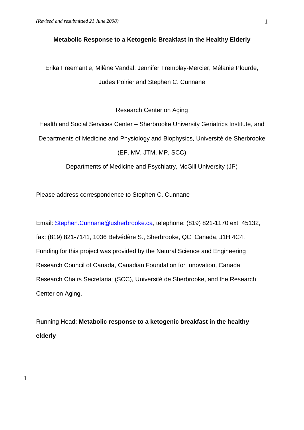1

### **Metabolic Response to a Ketogenic Breakfast in the Healthy Elderly**

Erika Freemantle, Milène Vandal, Jennifer Tremblay-Mercier, Mélanie Plourde, Judes Poirier and Stephen C. Cunnane

Research Center on Aging

Health and Social Services Center – Sherbrooke University Geriatrics Institute, and Departments of Medicine and Physiology and Biophysics, Université de Sherbrooke (EF, MV, JTM, MP, SCC)

Departments of Medicine and Psychiatry, McGill University (JP)

Please address correspondence to Stephen C. Cunnane

Email: [Stephen.Cunnane@usherbrooke.ca,](mailto:Stephen.C@usherbrooke.ca) telephone: (819) 821-1170 ext. 45132, fax: (819) 821-7141, 1036 Belvédère S., Sherbrooke, QC, Canada, J1H 4C4. Funding for this project was provided by the Natural Science and Engineering Research Council of Canada, Canadian Foundation for Innovation, Canada Research Chairs Secretariat (SCC), Université de Sherbrooke, and the Research Center on Aging.

Running Head: **Metabolic response to a ketogenic breakfast in the healthy elderly**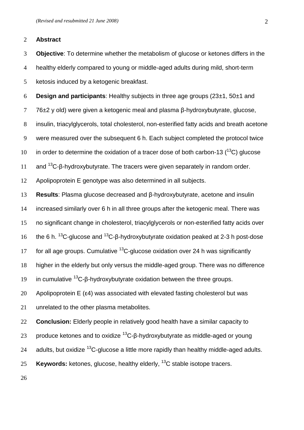### **Abstract**

 **Objective**: To determine whether the metabolism of glucose or ketones differs in the healthy elderly compared to young or middle-aged adults during mild, short-term ketosis induced by a ketogenic breakfast.

**Design and participants**: Healthy subjects in three age groups (23±1, 50±1 and

76±2 y old) were given a ketogenic meal and plasma β-hydroxybutyrate, glucose,

insulin, triacylglycerols, total cholesterol, non-esterified fatty acids and breath acetone

were measured over the subsequent 6 h. Each subject completed the protocol twice

10 in order to determine the oxidation of a tracer dose of both carbon-13  $(^{13}C)$  glucose

11 and <sup>13</sup>C-β-hydroxybutyrate. The tracers were given separately in random order.

Apolipoprotein E genotype was also determined in all subjects.

**Results**: Plasma glucose decreased and β-hydroxybutyrate, acetone and insulin

increased similarly over 6 h in all three groups after the ketogenic meal. There was

no significant change in cholesterol, triacylglycerols or non-esterified fatty acids over

16 the 6 h. <sup>13</sup>C-glucose and <sup>13</sup>C-β-hydroxybutyrate oxidation peaked at 2-3 h post-dose

17 for all age groups. Cumulative  $^{13}$ C-glucose oxidation over 24 h was significantly

higher in the elderly but only versus the middle-aged group. There was no difference

in cumulative <sup>13</sup>C-β-hydroxybutyrate oxidation between the three groups.

Apolipoprotein E (ε4) was associated with elevated fasting cholesterol but was

unrelated to the other plasma metabolites.

**Conclusion:** Elderly people in relatively good health have a similar capacity to

23 produce ketones and to oxidize  ${}^{13}$ C-β-hydroxybutyrate as middle-aged or young

24 adults, but oxidize  $^{13}$ C-glucose a little more rapidly than healthy middle-aged adults.

**Keywords:** ketones, glucose, healthy elderly, <sup>13</sup>C stable isotope tracers.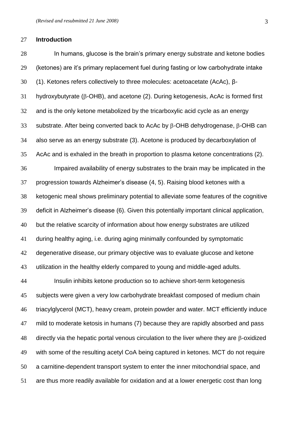#### **Introduction**

 In humans, glucose is the brain's primary energy substrate and ketone bodies (ketones) are it's primary replacement fuel during fasting or low carbohydrate intake (1). Ketones refers collectively to three molecules: acetoacetate (AcAc), β- hydroxybutyrate ( $\beta$ -OHB), and acetone (2). During ketogenesis, AcAc is formed first and is the only ketone metabolized by the tricarboxylic acid cycle as an energy 33 substrate. After being converted back to AcAc by  $\beta$ -OHB dehydrogenase,  $\beta$ -OHB can also serve as an energy substrate (3). Acetone is produced by decarboxylation of AcAc and is exhaled in the breath in proportion to plasma ketone concentrations (2). Impaired availability of energy substrates to the brain may be implicated in the progression towards Alzheimer's disease (4, 5). Raising blood ketones with a ketogenic meal shows preliminary potential to alleviate some features of the cognitive deficit in Alzheimer's disease (6). Given this potentially important clinical application, but the relative scarcity of information about how energy substrates are utilized during healthy aging, i.e. during aging minimally confounded by symptomatic degenerative disease, our primary objective was to evaluate glucose and ketone utilization in the healthy elderly compared to young and middle-aged adults. Insulin inhibits ketone production so to achieve short-term ketogenesis subjects were given a very low carbohydrate breakfast composed of medium chain triacylglycerol (MCT), heavy cream, protein powder and water. MCT efficiently induce mild to moderate ketosis in humans (7) because they are rapidly absorbed and pass directly via the hepatic portal venous circulation to the liver where they are  $\beta$ -oxidized with some of the resulting acetyl CoA being captured in ketones. MCT do not require a carnitine-dependent transport system to enter the inner mitochondrial space, and are thus more readily available for oxidation and at a lower energetic cost than long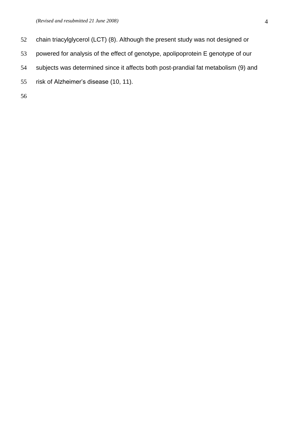- chain triacylglycerol (LCT) (8). Although the present study was not designed or
- powered for analysis of the effect of genotype, apolipoprotein E genotype of our
- subjects was determined since it affects both post-prandial fat metabolism (9) and
- risk of Alzheimer's disease (10, 11).
-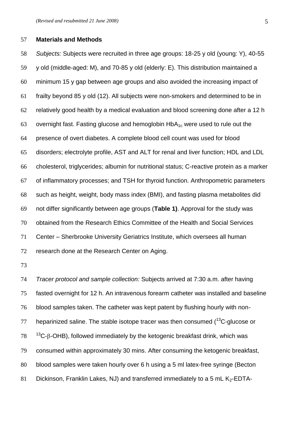#### **Materials and Methods**

 *Subjects:* Subjects were recruited in three age groups: 18-25 y old (young: Y), 40-55 y old (middle-aged: M), and 70-85 y old (elderly: E). This distribution maintained a minimum 15 y gap between age groups and also avoided the increasing impact of frailty beyond 85 y old (12). All subjects were non-smokers and determined to be in relatively good health by a medical evaluation and blood screening done after a 12 h 63 overnight fast. Fasting glucose and hemoglobin  $HbA_{1c}$  were used to rule out the presence of overt diabetes. A complete blood cell count was used for blood disorders; electrolyte profile, AST and ALT for renal and liver function; HDL and LDL cholesterol, triglycerides; albumin for nutritional status; C-reactive protein as a marker of inflammatory processes; and TSH for thyroid function. Anthropometric parameters such as height, weight, body mass index (BMI), and fasting plasma metabolites did not differ significantly between age groups (**Table 1)**. Approval for the study was obtained from the Research Ethics Committee of the Health and Social Services Center – Sherbrooke University Geriatrics Institute, which oversees all human research done at the Research Center on Aging.

 *Tracer protocol and sample collection:* Subjects arrived at 7:30 a.m. after having fasted overnight for 12 h. An intravenous forearm catheter was installed and baseline blood samples taken. The catheter was kept patent by flushing hourly with non- heparinized saline. The stable isotope tracer was then consumed ( $^{13}$ C-glucose or  $13^\circ$   $^{13}$ C- $\beta$ -OHB), followed immediately by the ketogenic breakfast drink, which was consumed within approximately 30 mins. After consuming the ketogenic breakfast, blood samples were taken hourly over 6 h using a 5 ml latex-free syringe (Becton 81 Dickinson, Franklin Lakes, NJ) and transferred immediately to a 5 mL  $K_2$ -EDTA-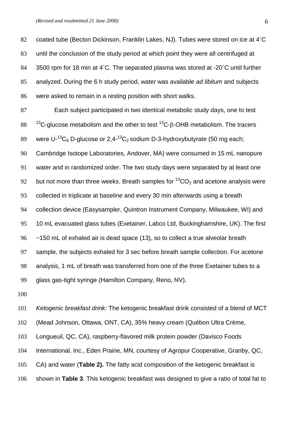82 coated tube (Becton Dickinson, Franklin Lakes, NJ). Tubes were stored on ice at 4°C until the conclusion of the study period at which point they were all centrifuged at 84 3500 rpm for 18 min at 4°C. The separated plasma was stored at -20°C until further analyzed. During the 6 h study period, water was available *ad libitum* and subjects were asked to remain in a resting position with short walks.

 Each subject participated in two identical metabolic study days, one to test  $13<sup>13</sup>$ C-glucose metabolism and the other to test <sup>13</sup>C-β-OHB metabolism. The tracers 89 were U-<sup>13</sup>C<sub>6</sub> D-glucose or 2,4-<sup>13</sup>C<sub>2</sub> sodium D-3-hydroxybutyrate (50 mg each; Cambridge Isotope Laboratories, Andover, MA) were consumed in 15 mL nanopure water and in randomized order. The two study days were separated by at least one 92 but not more than three weeks. Breath samples for  ${}^{13}CO_2$  and acetone analysis were collected in triplicate at baseline and every 30 min afterwards using a breath collection device (Easysampler, Quintron Instrument Company, Milwaukee, WI) and 10 mL evacuated glass tubes (Exetainer, Labco Ltd, Buckinghamshire, UK). The first ~150 mL of exhaled air is dead space (13), so to collect a true alveolar breath sample, the subjects exhaled for 3 sec before breath sample collection. For acetone analysis, 1 mL of breath was transferred from one of the three Exetainer tubes to a glass gas-tight syringe (Hamilton Company, Reno, NV).

 *Ketogenic breakfast drink:* The ketogenic breakfast drink consisted of a blend of MCT (Mead Johnson, Ottawa, ONT, CA), 35% heavy cream (Québon Ultra Crème, Longueuil, QC, CA), raspberry-flavored milk protein powder (Davisco Foods International, Inc., Eden Prairie, MN, courtesy of Agropur Cooperative, Granby, QC, CA) and water (**Table 2).** The fatty acid composition of the ketogenic breakfast is shown in **Table 3**. This ketogenic breakfast was designed to give a ratio of total fat to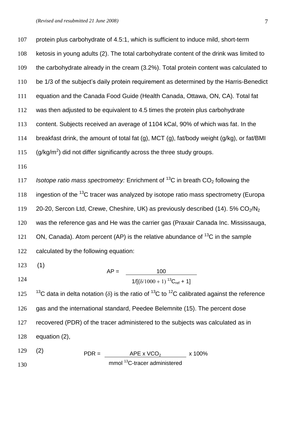protein plus carbohydrate of 4.5:1, which is sufficient to induce mild, short-term ketosis in young adults (2). The total carbohydrate content of the drink was limited to the carbohydrate already in the cream (3.2%). Total protein content was calculated to be 1/3 of the subject's daily protein requirement as determined by the Harris-Benedict equation and the Canada Food Guide (Health Canada, Ottawa, ON, CA). Total fat was then adjusted to be equivalent to 4.5 times the protein plus carbohydrate content. Subjects received an average of 1104 kCal, 90% of which was fat. In the breakfast drink, the amount of total fat (g), MCT (g), fat/body weight (g/kg), or fat/BMI 115  $(g/kg/m^2)$  did not differ significantly across the three study groups. *II7 Isotope ratio mass spectrometry:* Enrichment of  ${}^{13}$ C in breath CO<sub>2</sub> following the 118 ingestion of the  $^{13}$ C tracer was analyzed by isotope ratio mass spectrometry (Europa 119 20-20, Sercon Ltd, Crewe, Cheshire, UK) as previously described (14).  $5\%$  CO<sub>2</sub>/N<sub>2</sub> was the reference gas and He was the carrier gas (Praxair Canada Inc. Mississauga, 121 ON, Canada). Atom percent (AP) is the relative abundance of  $^{13}C$  in the sample calculated by the following equation: (1) 125  $13^{\circ}$ C data in delta notation ( $\delta$ ) is the ratio of  $13^{\circ}$ C to  $12^{\circ}$ C calibrated against the reference gas and the international standard, Peedee Belemnite (15). The percent dose recovered (PDR) of the tracer administered to the subjects was calculated as in equation (2), (2)  $AP =$  100  $1/[(\delta/1000+1)]^{13}C_{ref} + 1]$ 

  $PDR =$   $\frac{\text{APE} \times \text{VCO}_2}{\text{APE} \times \text{VCO}_2} \times 100\%$ mmol <sup>13</sup>C-tracer administered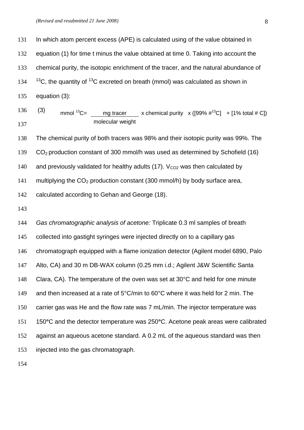In which atom percent excess (APE) is calculated using of the value obtained in 132 equation (1) for time t minus the value obtained at time 0. Taking into account the chemical purity, the isotopic enrichment of the tracer, and the natural abundance of  $<sup>13</sup>C$ , the quantity of <sup>13</sup>C excreted on breath (mmol) was calculated as shown in</sup> equation (3): (3) The chemical purity of both tracers was 98% and their isotopic purity was 99%. The CO2 production constant of 300 mmol/h was used as determined by Schofield (16) 140 and previously validated for healthy adults (17).  $V_{CO2}$  was then calculated by 141 multiplying the  $CO<sub>2</sub>$  production constant (300 mmol/h) by body surface area, calculated according to Gehan and George (18). *Gas chromatographic analysis of acetone:* Triplicate 0.3 ml samples of breath collected into gastight syringes were injected directly on to a capillary gas chromatograph equipped with a flame ionization detector (Agilent model 6890, Palo Alto, CA) and 30 m DB-WAX column (0.25 mm i.d.; Agilent J&W Scientific Santa Clara, CA). The temperature of the oven was set at 30°C and held for one minute 149 and then increased at a rate of 5°C/min to 60°C where it was held for 2 min. The carrier gas was He and the flow rate was 7 mL/min. The injector temperature was 150**°**C and the detector temperature was 250**°**C. Acetone peak areas were calibrated against an aqueous acetone standard. A 0.2 mL of the aqueous standard was then injected into the gas chromatograph. mmol <sup>13</sup>C= mg tracer x chemical purity x ([99%  $\#^{13}C$ ] + [1% total  $\# C$ ]) molecular weight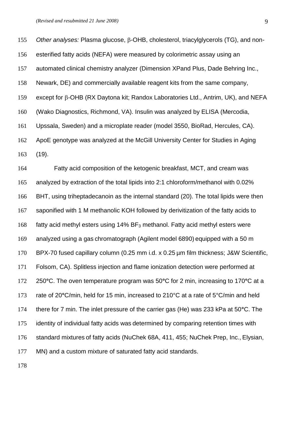155 Other analyses: Plasma glucose, β-OHB, cholesterol, triacylglycerols (TG), and non- esterified fatty acids (NEFA) were measured by colorimetric assay using an automated clinical chemistry analyzer (Dimension XPand Plus, Dade Behring Inc., Newark, DE) and commercially available reagent kits from the same company, 159 except for  $\beta$ -OHB (RX Daytona kit; Randox Laboratories Ltd., Antrim, UK), and NEFA (Wako Diagnostics, Richmond, VA). Insulin was analyzed by ELISA (Mercodia, Upssala, Sweden) and a microplate reader (model 3550, BioRad, Hercules, CA). ApoE genotype was analyzed at the McGill University Center for Studies in Aging (19). Fatty acid composition of the ketogenic breakfast, MCT, and cream was

 analyzed by extraction of the total lipids into 2:1 chloroform/methanol with 0.02% BHT, using triheptadecanoin as the internal standard (20). The total lipids were then saponified with 1 M methanolic KOH followed by derivitization of the fatty acids to 168 fatty acid methyl esters using  $14\%$  BF<sub>3</sub> methanol. Fatty acid methyl esters were analyzed using a gas chromatograph (Agilent model 6890) equipped with a 50 m BPX-70 fused capillary column (0.25 mm i.d. x 0.25 µm film thickness; J&W Scientific, Folsom, CA). Splitless injection and flame ionization detection were performed at 250**°**C. The oven temperature program was 50**°**C for 2 min, increasing to 170**°**C at a rate of 20**°**C/min, held for 15 min, increased to 210°C at a rate of 5°C/min and held there for 7 min. The inlet pressure of the carrier gas (He) was 233 kPa at 50**°**C. The identity of individual fatty acids was determined by comparing retention times with standard mixtures of fatty acids (NuChek 68A, 411, 455; NuChek Prep, Inc., Elysian, MN) and a custom mixture of saturated fatty acid standards.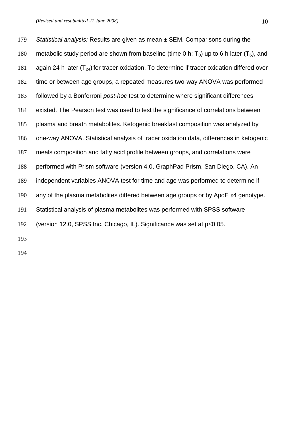*Statistical analysis:* Results are given as mean ± SEM. Comparisons during the 180 metabolic study period are shown from baseline (time 0 h;  $T_0$ ) up to 6 h later ( $T_6$ ), and 181 again 24 h later  $(T_{24})$  for tracer oxidation. To determine if tracer oxidation differed over time or between age groups, a repeated measures two-way ANOVA was performed followed by a Bonferroni *post-hoc* test to determine where significant differences existed. The Pearson test was used to test the significance of correlations between plasma and breath metabolites. Ketogenic breakfast composition was analyzed by one-way ANOVA. Statistical analysis of tracer oxidation data, differences in ketogenic meals composition and fatty acid profile between groups, and correlations were performed with Prism software (version 4.0, GraphPad Prism, San Diego, CA). An independent variables ANOVA test for time and age was performed to determine if 190 any of the plasma metabolites differed between age groups or by ApoE  $\varepsilon$ 4 genotype. Statistical analysis of plasma metabolites was performed with SPSS software 192 (version 12.0, SPSS Inc, Chicago, IL). Significance was set at  $p\leq 0.05$ .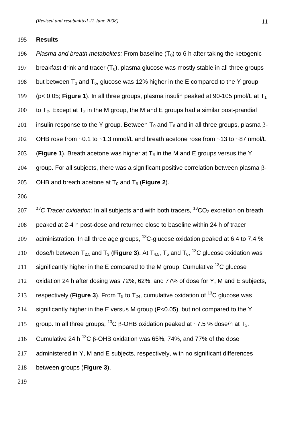#### 195 **Results**

196 *Plasma and breath metabolites:* From baseline  $(T_0)$  to 6 h after taking the ketogenic 197 breakfast drink and tracer  $(T_6)$ , plasma glucose was mostly stable in all three groups 198 but between  $T_3$  and  $T_6$ , glucose was 12% higher in the E compared to the Y group 199 (p< 0.05; **Figure 1**). In all three groups, plasma insulin peaked at 90-105 pmol/L at T<sup>1</sup> 200 to  $T_2$ . Except at  $T_2$  in the M group, the M and E groups had a similar post-prandial 201 insulin response to the Y group. Between  $T_0$  and  $T_6$  and in all three groups, plasma  $\beta$ -202 OHB rose from  $\sim$  0.1 to  $\sim$  1.3 mmol/L and breath acetone rose from  $\sim$  13 to  $\sim$  87 nmol/L 203 (Figure 1). Breath acetone was higher at  $T_6$  in the M and E groups versus the Y 204 group. For all subjects, there was a significant positive correlation between plasma  $\beta$ -205 OHB and breath acetone at  $T_0$  and  $T_6$  (**Figure 2**).

206

207 <sup>13</sup>C Tracer oxidation: In all subjects and with both tracers, <sup>13</sup>CO<sub>2</sub> excretion on breath 208 peaked at 2-4 h post-dose and returned close to baseline within 24 h of tracer 209 administration. In all three age groups,  $^{13}$ C-glucose oxidation peaked at 6.4 to 7.4 % 210 dose/h between T<sub>2.5</sub> and T<sub>3</sub> (Figure 3). At T<sub>4.5</sub>, T<sub>5</sub> and T<sub>6</sub>, <sup>13</sup>C glucose oxidation was 211 significantly higher in the E compared to the M group. Cumulative  $^{13}$ C glucose 212 oxidation 24 h after dosing was 72%, 62%, and 77% of dose for Y, M and E subjects, 213 respectively (**Figure 3**). From  $T_5$  to  $T_{24}$ , cumulative oxidation of <sup>13</sup>C glucose was 214 significantly higher in the E versus M group (P<0.05), but not compared to the Y 215 aroup. In all three groups,  $^{13}$ C B-OHB oxidation peaked at ~7.5 % dose/h at T<sub>2</sub>. 216 Cumulative 24 h <sup>13</sup>C  $\beta$ -OHB oxidation was 65%, 74%, and 77% of the dose 217 administered in Y, M and E subjects, respectively, with no significant differences 218 between groups (**Figure 3**).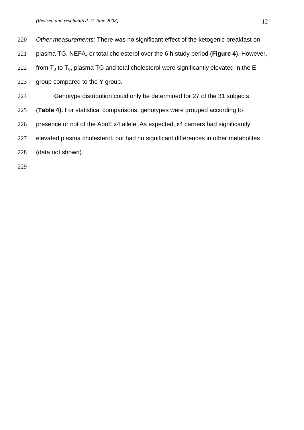| 220 | Other measurements: There was no significant effect of the ketogenic breakfast on                     |
|-----|-------------------------------------------------------------------------------------------------------|
| 221 | plasma TG, NEFA, or total cholesterol over the 6 h study period (Figure 4). However,                  |
| 222 | from $T_3$ to $T_6$ , plasma TG and total cholesterol were significantly elevated in the E            |
| 223 | group compared to the Y group.                                                                        |
| 224 | Genotype distribution could only be determined for 27 of the 31 subjects                              |
| 225 | <b>(Table 4).</b> For statistical comparisons, genotypes were grouped according to                    |
| 226 | presence or not of the ApoE $\epsilon$ 4 allele. As expected, $\epsilon$ 4 carriers had significantly |
|     |                                                                                                       |

- elevated plasma cholesterol, but had no significant differences in other metabolites
- (data not shown).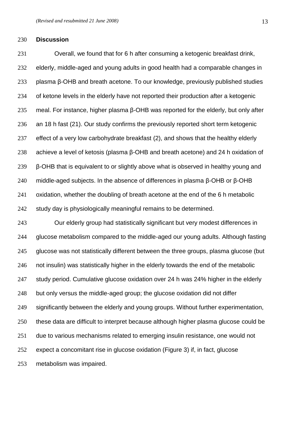#### **Discussion**

 Overall, we found that for 6 h after consuming a ketogenic breakfast drink, elderly, middle-aged and young adults in good health had a comparable changes in plasma β-OHB and breath acetone. To our knowledge, previously published studies of ketone levels in the elderly have not reported their production after a ketogenic meal. For instance, higher plasma β-OHB was reported for the elderly, but only after an 18 h fast (21). Our study confirms the previously reported short term ketogenic effect of a very low carbohydrate breakfast (2), and shows that the healthy elderly achieve a level of ketosis (plasma β-OHB and breath acetone) and 24 h oxidation of β-OHB that is equivalent to or slightly above what is observed in healthy young and middle-aged subjects. In the absence of differences in plasma β-OHB or β-OHB oxidation, whether the doubling of breath acetone at the end of the 6 h metabolic 242 study day is physiologically meaningful remains to be determined.

 Our elderly group had statistically significant but very modest differences in glucose metabolism compared to the middle-aged our young adults. Although fasting glucose was not statistically different between the three groups, plasma glucose (but not insulin) was statistically higher in the elderly towards the end of the metabolic study period. Cumulative glucose oxidation over 24 h was 24% higher in the elderly but only versus the middle-aged group; the glucose oxidation did not differ significantly between the elderly and young groups. Without further experimentation, these data are difficult to interpret because although higher plasma glucose could be due to various mechanisms related to emerging insulin resistance, one would not expect a concomitant rise in glucose oxidation (Figure 3) if, in fact, glucose metabolism was impaired.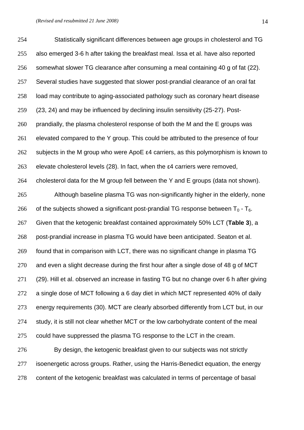Statistically significant differences between age groups in cholesterol and TG also emerged 3-6 h after taking the breakfast meal. Issa et al. have also reported somewhat slower TG clearance after consuming a meal containing 40 g of fat (22). Several studies have suggested that slower post-prandial clearance of an oral fat load may contribute to aging-associated pathology such as coronary heart disease (23, 24) and may be influenced by declining insulin sensitivity (25-27). Post- prandially, the plasma cholesterol response of both the M and the E groups was elevated compared to the Y group. This could be attributed to the presence of four 262 subjects in the M group who were ApoE  $\varepsilon$ 4 carriers, as this polymorphism is known to elevate cholesterol levels (28). In fact, when the ε4 carriers were removed, cholesterol data for the M group fell between the Y and E groups (data not shown). Although baseline plasma TG was non-significantly higher in the elderly, none 266 of the subjects showed a significant post-prandial TG response between  $T_0 - T_6$ . Given that the ketogenic breakfast contained approximately 50% LCT (**Table 3**), a post-prandial increase in plasma TG would have been anticipated. Seaton et al. found that in comparison with LCT, there was no significant change in plasma TG and even a slight decrease during the first hour after a single dose of 48 g of MCT (29). Hill et al. observed an increase in fasting TG but no change over 6 h after giving a single dose of MCT following a 6 day diet in which MCT represented 40% of daily energy requirements (30). MCT are clearly absorbed differently from LCT but, in our 274 study, it is still not clear whether MCT or the low carbohydrate content of the meal could have suppressed the plasma TG response to the LCT in the cream. By design, the ketogenic breakfast given to our subjects was not strictly isoenergetic across groups. Rather, using the Harris-Benedict equation, the energy content of the ketogenic breakfast was calculated in terms of percentage of basal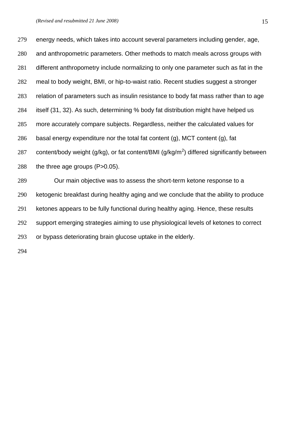energy needs, which takes into account several parameters including gender, age, and anthropometric parameters. Other methods to match meals across groups with different anthropometry include normalizing to only one parameter such as fat in the meal to body weight, BMI, or hip-to-waist ratio. Recent studies suggest a stronger relation of parameters such as insulin resistance to body fat mass rather than to age itself (31, 32). As such, determining % body fat distribution might have helped us more accurately compare subjects. Regardless, neither the calculated values for 286 basal energy expenditure nor the total fat content  $(q)$ , MCT content  $(q)$ , fat 287 content/body weight (g/kg), or fat content/BMI (g/kg/m<sup>2</sup>) differed significantly between 288 the three age groups (P>0.05). Our main objective was to assess the short-term ketone response to a ketogenic breakfast during healthy aging and we conclude that the ability to produce ketones appears to be fully functional during healthy aging. Hence, these results support emerging strategies aiming to use physiological levels of ketones to correct or bypass deteriorating brain glucose uptake in the elderly.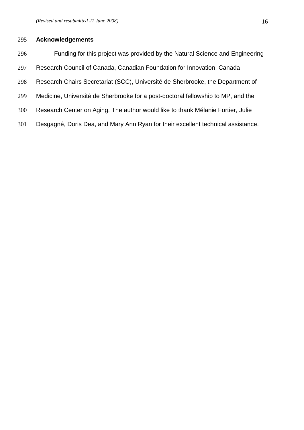## **Acknowledgements**

 Funding for this project was provided by the Natural Science and Engineering Research Council of Canada, Canadian Foundation for Innovation, Canada Research Chairs Secretariat (SCC), Université de Sherbrooke, the Department of Medicine, Université de Sherbrooke for a post-doctoral fellowship to MP, and the Research Center on Aging. The author would like to thank Mélanie Fortier, Julie Desgagné, Doris Dea, and Mary Ann Ryan for their excellent technical assistance.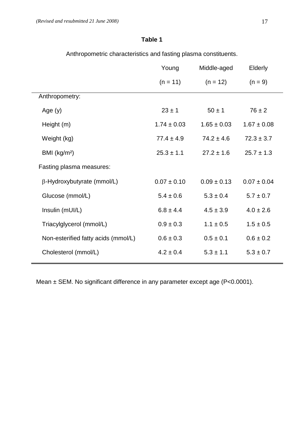## **Table 1**

Anthropometric characteristics and fasting plasma constituents.

|                                     | Young           | Middle-aged     | Elderly         |
|-------------------------------------|-----------------|-----------------|-----------------|
|                                     | $(n = 11)$      | $(n = 12)$      | $(n = 9)$       |
| Anthropometry:                      |                 |                 |                 |
| Age $(y)$                           | $23 \pm 1$      | $50 \pm 1$      | $76 \pm 2$      |
| Height (m)                          | $1.74 \pm 0.03$ | $1.65 \pm 0.03$ | $1.67 \pm 0.08$ |
| Weight (kg)                         | $77.4 \pm 4.9$  | $74.2 \pm 4.6$  | $72.3 \pm 3.7$  |
| BMI $(kg/m2)$                       | $25.3 \pm 1.1$  | $27.2 \pm 1.6$  | $25.7 \pm 1.3$  |
| Fasting plasma measures:            |                 |                 |                 |
| $\beta$ -Hydroxybutyrate (mmol/L)   | $0.07 \pm 0.10$ | $0.09 \pm 0.13$ | $0.07 \pm 0.04$ |
| Glucose (mmol/L)                    | $5.4 \pm 0.6$   | $5.3 \pm 0.4$   | $5.7 \pm 0.7$   |
| Insulin (mUI/L)                     | $6.8 \pm 4.4$   | $4.5 \pm 3.9$   | $4.0 \pm 2.6$   |
| Triacylglycerol (mmol/L)            | $0.9 \pm 0.3$   | $1.1 \pm 0.5$   | $1.5 \pm 0.5$   |
| Non-esterified fatty acids (mmol/L) | $0.6 \pm 0.3$   | $0.5 \pm 0.1$   | $0.6 \pm 0.2$   |
| Cholesterol (mmol/L)                | $4.2 \pm 0.4$   | $5.3 \pm 1.1$   | $5.3 \pm 0.7$   |
|                                     |                 |                 |                 |

Mean ± SEM. No significant difference in any parameter except age (P<0.0001).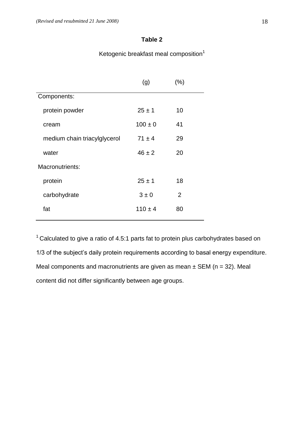## **Table 2**

Ketogenic breakfast meal composition<sup>1</sup>

|                              | (g)         | (%) |  |
|------------------------------|-------------|-----|--|
| Components:                  |             |     |  |
| protein powder               | $25 \pm 1$  | 10  |  |
| cream                        | $100 \pm 0$ | 41  |  |
| medium chain triacylglycerol | $71 \pm 4$  | 29  |  |
| water                        | $46 \pm 2$  | 20  |  |
| Macronutrients:              |             |     |  |
| protein                      | $25 \pm 1$  | 18  |  |
| carbohydrate                 | $3 \pm 0$   | 2   |  |
| fat                          | $110 \pm 4$ | 80  |  |
|                              |             |     |  |

 $1$  Calculated to give a ratio of 4.5:1 parts fat to protein plus carbohydrates based on 1/3 of the subject's daily protein requirements according to basal energy expenditure. Meal components and macronutrients are given as mean  $\pm$  SEM (n = 32). Meal content did not differ significantly between age groups.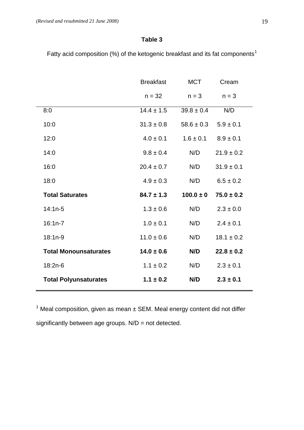## **Table 3**

Fatty acid composition (%) of the ketogenic breakfast and its fat components<sup>1</sup>

|                              | <b>Breakfast</b> | <b>MCT</b>     |                | Cream |  |
|------------------------------|------------------|----------------|----------------|-------|--|
|                              | $n = 32$         | $n = 3$        | $n = 3$        |       |  |
| 8:0                          | $14.4 \pm 1.5$   | $39.8 \pm 0.4$ | N/D            |       |  |
| 10:0                         | $31.3 \pm 0.8$   | $58.6 \pm 0.3$ | $5.9 \pm 0.1$  |       |  |
| 12:0                         | $4.0 \pm 0.1$    | $1.6 \pm 0.1$  | $8.9 \pm 0.1$  |       |  |
| 14:0                         | $9.8 \pm 0.4$    | N/D            | $21.9 \pm 0.2$ |       |  |
| 16:0                         | $20.4 \pm 0.7$   | N/D            | $31.9 \pm 0.1$ |       |  |
| 18:0                         | $4.9 \pm 0.3$    | N/D            | $6.5 \pm 0.2$  |       |  |
| <b>Total Saturates</b>       | $84.7 \pm 1.3$   | $100.0 \pm 0$  | $75.0 \pm 0.2$ |       |  |
| $14:1n-5$                    | $1.3 \pm 0.6$    | N/D            | $2.3 \pm 0.0$  |       |  |
| $16:1n-7$                    | $1.0 \pm 0.1$    | N/D            | $2.4 \pm 0.1$  |       |  |
| $18:1n-9$                    | $11.0 \pm 0.6$   | N/D            | $18.1 \pm 0.2$ |       |  |
| <b>Total Monounsaturates</b> | $14.0 \pm 0.6$   | N/D            | $22.8 \pm 0.2$ |       |  |
| 18:2n-6                      | $1.1 \pm 0.2$    | N/D            | $2.3 \pm 0.1$  |       |  |
| <b>Total Polyunsaturates</b> | $1.1 \pm 0.2$    | N/D            | $2.3 \pm 0.1$  |       |  |
|                              |                  |                |                |       |  |

 $1$  Meal composition, given as mean  $\pm$  SEM. Meal energy content did not differ significantly between age groups. N/D = not detected.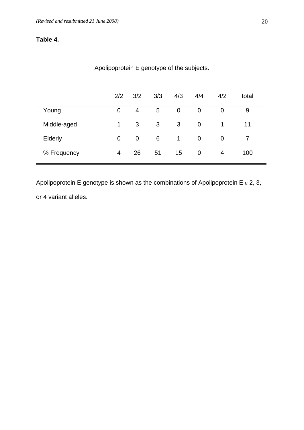# **Table 4.**

|             | 2/2 | 3/2 | 3/3 | 4/3 | 4/4            | 4/2            | total |
|-------------|-----|-----|-----|-----|----------------|----------------|-------|
| Young       | 0   | 4   | 5   | 0   | 0              | 0              | 9     |
| Middle-aged | 1   | 3   | 3   | 3   | $\mathbf 0$    | 1              | 11    |
| Elderly     | 0   | 0   | 6   | 1   | $\mathbf 0$    | $\overline{0}$ |       |
| % Frequency | 4   | 26  | 51  | 15  | $\overline{0}$ | 4              | 100   |

# Apolipoprotein E genotype of the subjects.

Apolipoprotein E genotype is shown as the combinations of Apolipoprotein E  $\varepsilon$  2, 3, or 4 variant alleles.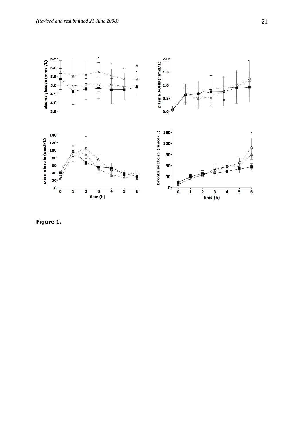

**Figure 1.**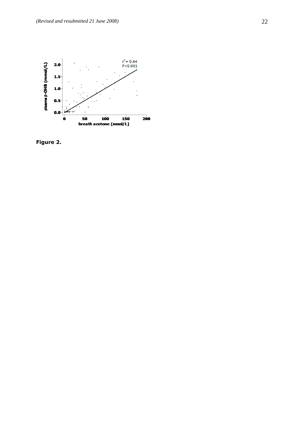

**Figure 2.**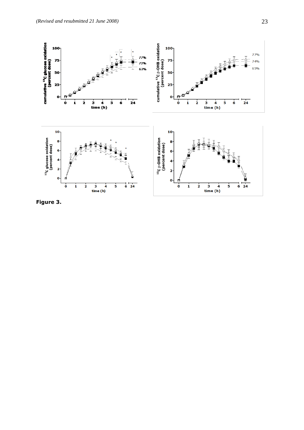

**Figure 3.**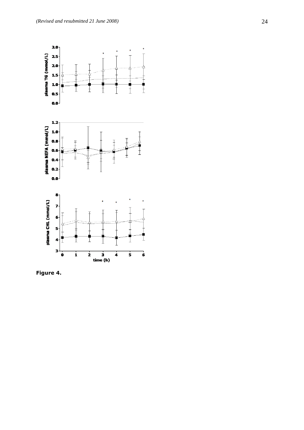

**Figure 4.**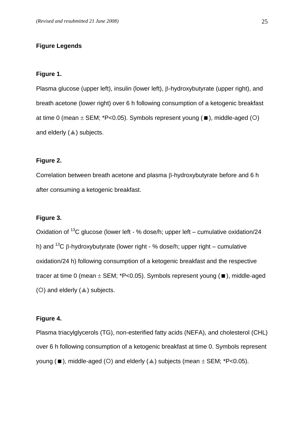### **Figure Legends**

### **Figure 1.**

Plasma glucose (upper left), insulin (lower left),  $\beta$ -hydroxybutyrate (upper right), and breath acetone (lower right) over 6 h following consumption of a ketogenic breakfast at time 0 (mean  $\pm$  SEM; \*P<0.05). Symbols represent young ( $\blacksquare$ ), middle-aged ( $\bigcirc$ ) and elderly  $($   $\blacktriangle$ ) subjects.

### **Figure 2.**

Correlation between breath acetone and plasma  $\beta$ -hydroxybutyrate before and 6 h after consuming a ketogenic breakfast.

### **Figure 3.**

Oxidation of  $^{13}$ C glucose (lower left - % dose/h; upper left – cumulative oxidation/24 h) and  $13C$   $\beta$ -hydroxybutyrate (lower right - % dose/h; upper right – cumulative oxidation/24 h) following consumption of a ketogenic breakfast and the respective tracer at time 0 (mean  $\pm$  SEM; \*P<0.05). Symbols represent young ( $\blacksquare$ ), middle-aged (O) and elderly  $($   $\blacktriangle$ ) subjects.

### **Figure 4.**

Plasma triacylglycerols (TG), non-esterified fatty acids (NEFA), and cholesterol (CHL) over 6 h following consumption of a ketogenic breakfast at time 0. Symbols represent young ( $\blacksquare$ ), middle-aged (O) and elderly ( $\blacktriangle$ ) subjects (mean  $\pm$  SEM; \*P<0.05).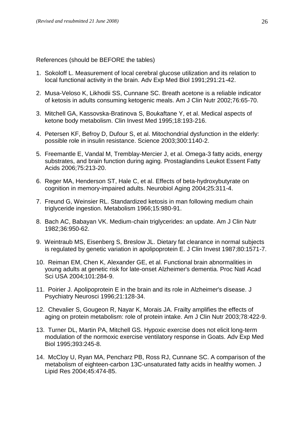References (should be BEFORE the tables)

- 1. Sokoloff L. Measurement of local cerebral glucose utilization and its relation to local functional activity in the brain. Adv Exp Med Biol 1991;291:21-42.
- 2. Musa-Veloso K, Likhodii SS, Cunnane SC. Breath acetone is a reliable indicator of ketosis in adults consuming ketogenic meals. Am J Clin Nutr 2002;76:65-70.
- 3. Mitchell GA, Kassovska-Bratinova S, Boukaftane Y, et al. Medical aspects of ketone body metabolism. Clin Invest Med 1995;18:193-216.
- 4. Petersen KF, Befroy D, Dufour S, et al. Mitochondrial dysfunction in the elderly: possible role in insulin resistance. Science 2003;300:1140-2.
- 5. Freemantle E, Vandal M, Tremblay-Mercier J, et al. Omega-3 fatty acids, energy substrates, and brain function during aging. Prostaglandins Leukot Essent Fatty Acids 2006;75:213-20.
- 6. Reger MA, Henderson ST, Hale C, et al. Effects of beta-hydroxybutyrate on cognition in memory-impaired adults. Neurobiol Aging 2004;25:311-4.
- 7. Freund G, Weinsier RL. Standardized ketosis in man following medium chain triglyceride ingestion. Metabolism 1966;15:980-91.
- 8. Bach AC, Babayan VK. Medium-chain triglycerides: an update. Am J Clin Nutr 1982;36:950-62.
- 9. Weintraub MS, Eisenberg S, Breslow JL. Dietary fat clearance in normal subjects is regulated by genetic variation in apolipoprotein E. J Clin Invest 1987;80:1571-7.
- 10. Reiman EM, Chen K, Alexander GE, et al. Functional brain abnormalities in young adults at genetic risk for late-onset Alzheimer's dementia. Proc Natl Acad Sci USA 2004;101:284-9.
- 11. Poirier J. Apolipoprotein E in the brain and its role in Alzheimer's disease. J Psychiatry Neurosci 1996;21:128-34.
- 12. Chevalier S, Gougeon R, Nayar K, Morais JA. Frailty amplifies the effects of aging on protein metabolism: role of protein intake. Am J Clin Nutr 2003;78:422-9.
- 13. Turner DL, Martin PA, Mitchell GS. Hypoxic exercise does not elicit long-term modulation of the normoxic exercise ventilatory response in Goats. Adv Exp Med Biol 1995;393:245-8.
- 14. McCloy U, Ryan MA, Pencharz PB, Ross RJ, Cunnane SC. A comparison of the metabolism of eighteen-carbon 13C-unsaturated fatty acids in healthy women. J Lipid Res 2004;45:474-85.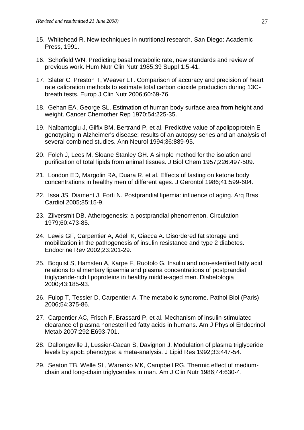- 15. Whitehead R. New techniques in nutritional research. San Diego: Academic Press, 1991.
- 16. Schofield WN. Predicting basal metabolic rate, new standards and review of previous work. Hum Nutr Clin Nutr 1985;39 Suppl 1:5-41.
- 17. Slater C, Preston T, Weaver LT. Comparison of accuracy and precision of heart rate calibration methods to estimate total carbon dioxide production during 13Cbreath tests. Europ J Clin Nutr 2006;60:69-76.
- 18. Gehan EA, George SL. Estimation of human body surface area from height and weight. Cancer Chemother Rep 1970;54:225-35.
- 19. Nalbantoglu J, Gilfix BM, Bertrand P, et al. Predictive value of apolipoprotein E genotyping in Alzheimer's disease: results of an autopsy series and an analysis of several combined studies. Ann Neurol 1994;36:889-95.
- 20. Folch J, Lees M, Sloane Stanley GH. A simple method for the isolation and purification of total lipids from animal tissues. J Biol Chem 1957;226:497-509.
- 21. London ED, Margolin RA, Duara R, et al. Effects of fasting on ketone body concentrations in healthy men of different ages. J Gerontol 1986;41:599-604.
- 22. Issa JS, Diament J, Forti N. Postprandial lipemia: influence of aging. Arq Bras Cardiol 2005;85:15-9.
- 23. Zilversmit DB. Atherogenesis: a postprandial phenomenon. Circulation 1979;60:473-85.
- 24. Lewis GF, Carpentier A, Adeli K, Giacca A. Disordered fat storage and mobilization in the pathogenesis of insulin resistance and type 2 diabetes. Endocrine Rev 2002;23:201-29.
- 25. Boquist S, Hamsten A, Karpe F, Ruotolo G. Insulin and non-esterified fatty acid relations to alimentary lipaemia and plasma concentrations of postprandial triglyceride-rich lipoproteins in healthy middle-aged men. Diabetologia 2000;43:185-93.
- 26. Fulop T, Tessier D, Carpentier A. The metabolic syndrome. Pathol Biol (Paris) 2006;54:375-86.
- 27. Carpentier AC, Frisch F, Brassard P, et al. Mechanism of insulin-stimulated clearance of plasma nonesterified fatty acids in humans. Am J Physiol Endocrinol Metab 2007;292:E693-701.
- 28. Dallongeville J, Lussier-Cacan S, Davignon J. Modulation of plasma triglyceride levels by apoE phenotype: a meta-analysis. J Lipid Res 1992;33:447-54.
- 29. Seaton TB, Welle SL, Warenko MK, Campbell RG. Thermic effect of mediumchain and long-chain triglycerides in man. Am J Clin Nutr 1986;44:630-4.